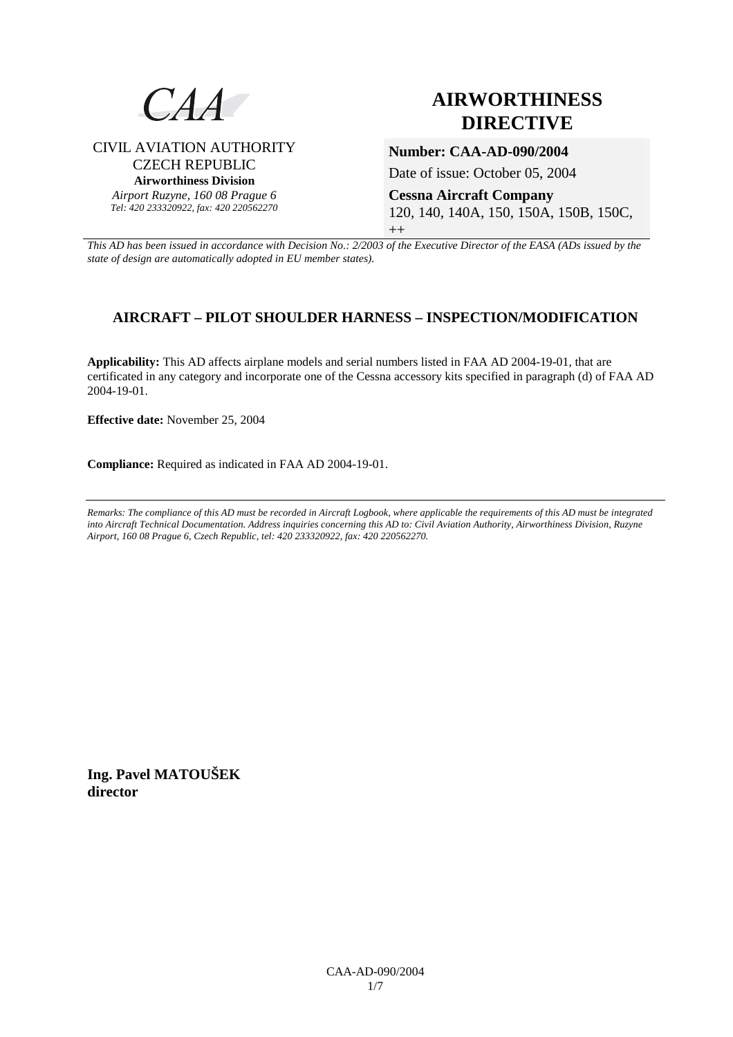

CIVIL AVIATION AUTHORITY CZECH REPUBLIC **Airworthiness Division**  *Airport Ruzyne, 160 08 Prague 6 Tel: 420 233320922, fax: 420 220562270*

# **AIRWORTHINESS DIRECTIVE**

### **Number: CAA-AD-090/2004**

Date of issue: October 05, 2004

**Cessna Aircraft Company**  120, 140, 140A, 150, 150A, 150B, 150C,  $^{++}$ 

*This AD has been issued in accordance with Decision No.: 2/2003 of the Executive Director of the EASA (ADs issued by the state of design are automatically adopted in EU member states).*

# **AIRCRAFT – PILOT SHOULDER HARNESS – INSPECTION/MODIFICATION**

**Applicability:** This AD affects airplane models and serial numbers listed in FAA AD 2004-19-01, that are certificated in any category and incorporate one of the Cessna accessory kits specified in paragraph (d) of FAA AD 2004-19-01.

**Effective date:** November 25, 2004

**Compliance:** Required as indicated in FAA AD 2004-19-01.

*Remarks: The compliance of this AD must be recorded in Aircraft Logbook, where applicable the requirements of this AD must be integrated into Aircraft Technical Documentation. Address inquiries concerning this AD to: Civil Aviation Authority, Airworthiness Division, Ruzyne Airport, 160 08 Prague 6, Czech Republic, tel: 420 233320922, fax: 420 220562270.* 

**Ing. Pavel MATOUŠEK director**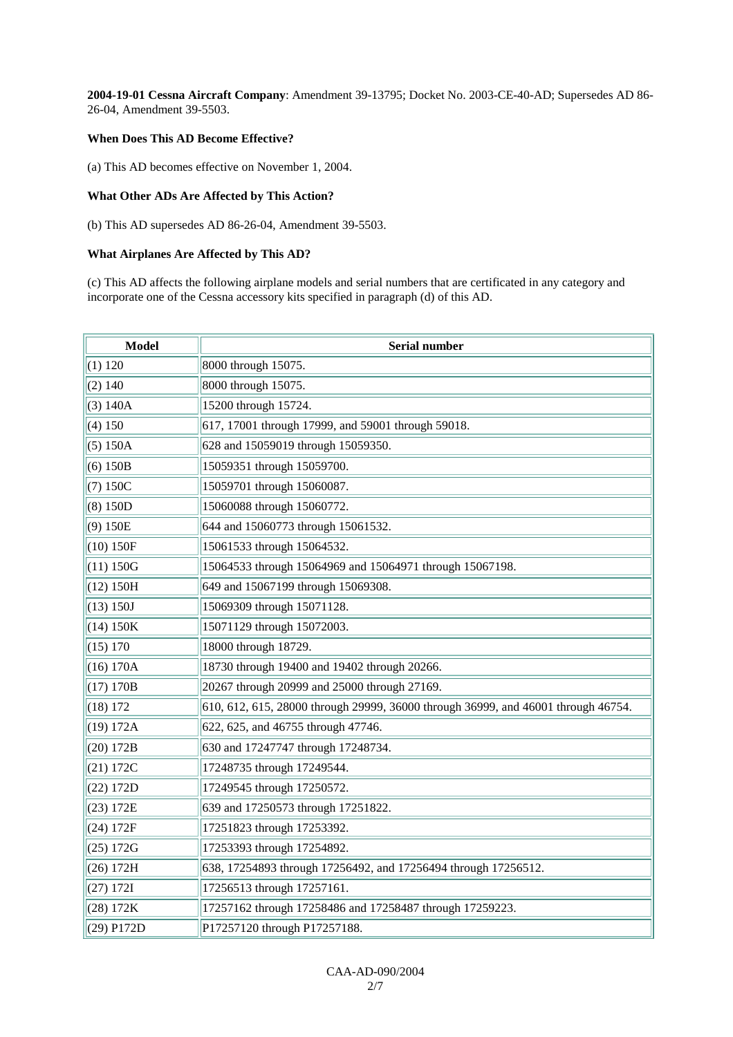**2004-19-01 Cessna Aircraft Company**: Amendment 39-13795; Docket No. 2003-CE-40-AD; Supersedes AD 86- 26-04, Amendment 39-5503.

#### **When Does This AD Become Effective?**

(a) This AD becomes effective on November 1, 2004.

#### **What Other ADs Are Affected by This Action?**

(b) This AD supersedes AD 86-26-04, Amendment 39-5503.

#### **What Airplanes Are Affected by This AD?**

(c) This AD affects the following airplane models and serial numbers that are certificated in any category and incorporate one of the Cessna accessory kits specified in paragraph (d) of this AD.

| <b>Model</b> | Serial number                                                                     |  |  |
|--------------|-----------------------------------------------------------------------------------|--|--|
| (1) 120      | 8000 through 15075.                                                               |  |  |
| (2) 140      | 8000 through 15075.                                                               |  |  |
| (3) 140A     | 15200 through 15724.                                                              |  |  |
| (4) 150      | 617, 17001 through 17999, and 59001 through 59018.                                |  |  |
| (5) 150A     | 628 and 15059019 through 15059350.                                                |  |  |
| (6) 150B     | 15059351 through 15059700.                                                        |  |  |
| (7) 150C     | 15059701 through 15060087.                                                        |  |  |
| (8) 150D     | 15060088 through 15060772.                                                        |  |  |
| (9) 150E     | 644 and 15060773 through 15061532.                                                |  |  |
| (10) 150F    | 15061533 through 15064532.                                                        |  |  |
| (11) 150G    | 15064533 through 15064969 and 15064971 through 15067198.                          |  |  |
| (12) 150H    | 649 and 15067199 through 15069308.                                                |  |  |
| (13) 150J    | 15069309 through 15071128.                                                        |  |  |
| (14) 150K    | 15071129 through 15072003.                                                        |  |  |
| (15) 170     | 18000 through 18729.                                                              |  |  |
| (16) 170A    | 18730 through 19400 and 19402 through 20266.                                      |  |  |
| (17) 170B    | 20267 through 20999 and 25000 through 27169.                                      |  |  |
| (18) 172     | 610, 612, 615, 28000 through 29999, 36000 through 36999, and 46001 through 46754. |  |  |
| (19) 172A    | 622, 625, and 46755 through 47746.                                                |  |  |
| (20) 172B    | 630 and 17247747 through 17248734.                                                |  |  |
| (21) 172C    | 17248735 through 17249544.                                                        |  |  |
| (22) 172D    | 17249545 through 17250572.                                                        |  |  |
| (23) 172E    | 639 and 17250573 through 17251822.                                                |  |  |
| (24) 172F    | 17251823 through 17253392.                                                        |  |  |
| (25) 172G    | 17253393 through 17254892.                                                        |  |  |
| (26) 172H    | 638, 17254893 through 17256492, and 17256494 through 17256512.                    |  |  |
| (27) 172I    | 17256513 through 17257161.                                                        |  |  |
| (28) 172K    | 17257162 through 17258486 and 17258487 through 17259223.                          |  |  |
| (29) P172D   | P17257120 through P17257188.                                                      |  |  |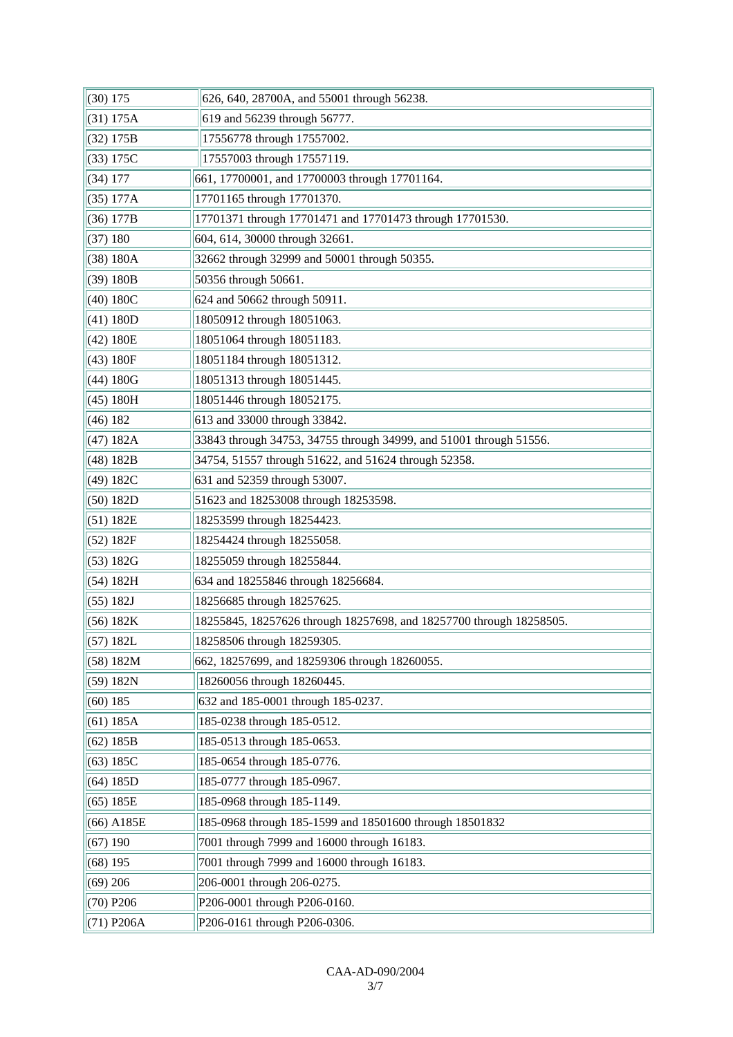| $(30)$ 175   | 626, 640, 28700A, and 55001 through 56238.                          |  |
|--------------|---------------------------------------------------------------------|--|
| (31) 175A    | 619 and 56239 through 56777.                                        |  |
| (32) 175B    | 17556778 through 17557002.                                          |  |
| (33) 175C    | 17557003 through 17557119.                                          |  |
| (34) 177     | 661, 17700001, and 17700003 through 17701164.                       |  |
| (35) 177A    | 17701165 through 17701370.                                          |  |
| (36) 177B    | 17701371 through 17701471 and 17701473 through 17701530.            |  |
| (37) 180     | 604, 614, 30000 through 32661.                                      |  |
| (38) 180A    | 32662 through 32999 and 50001 through 50355.                        |  |
| (39) 180B    | 50356 through 50661.                                                |  |
| (40) 180C    | 624 and 50662 through 50911.                                        |  |
| (41) 180D    | 18050912 through 18051063.                                          |  |
| (42) 180E    | 18051064 through 18051183.                                          |  |
| (43) 180F    | 18051184 through 18051312.                                          |  |
| (44) 180G    | 18051313 through 18051445.                                          |  |
| (45) 180H    | 18051446 through 18052175.                                          |  |
| (46) 182     | 613 and 33000 through 33842.                                        |  |
| (47) 182A    | 33843 through 34753, 34755 through 34999, and 51001 through 51556.  |  |
| (48) 182B    | 34754, 51557 through 51622, and 51624 through 52358.                |  |
| (49) 182C    | 631 and 52359 through 53007.                                        |  |
| (50) 182D    | 51623 and 18253008 through 18253598.                                |  |
| (51) 182E    | 18253599 through 18254423.                                          |  |
| (52) 182F    | 18254424 through 18255058.                                          |  |
| (53) 182G    | 18255059 through 18255844.                                          |  |
| (54) 182H    | 634 and 18255846 through 18256684.                                  |  |
| (55) 182J    | 18256685 through 18257625.                                          |  |
| (56) 182K    | 18255845, 18257626 through 18257698, and 18257700 through 18258505. |  |
| (57) 182L    | 18258506 through 18259305.                                          |  |
| (58) 182M    | 662, 18257699, and 18259306 through 18260055.                       |  |
| (59) 182N    | 18260056 through 18260445.                                          |  |
| $(60)$ 185   | 632 and 185-0001 through 185-0237.                                  |  |
| (61) 185A    | 185-0238 through 185-0512.                                          |  |
| (62) 185B    | 185-0513 through 185-0653.                                          |  |
| (63) 185C    | 185-0654 through 185-0776.                                          |  |
| (64) 185D    | 185-0777 through 185-0967.                                          |  |
| (65) 185E    | 185-0968 through 185-1149.                                          |  |
| (66) A185E   | 185-0968 through 185-1599 and 18501600 through 18501832             |  |
| $(67)$ 190   | 7001 through 7999 and 16000 through 16183.                          |  |
| $(68)$ 195   | 7001 through 7999 and 16000 through 16183.                          |  |
| $(69)$ 206   | 206-0001 through 206-0275.                                          |  |
| $(70)$ P206  | P206-0001 through P206-0160.                                        |  |
| $(71)$ P206A | P206-0161 through P206-0306.                                        |  |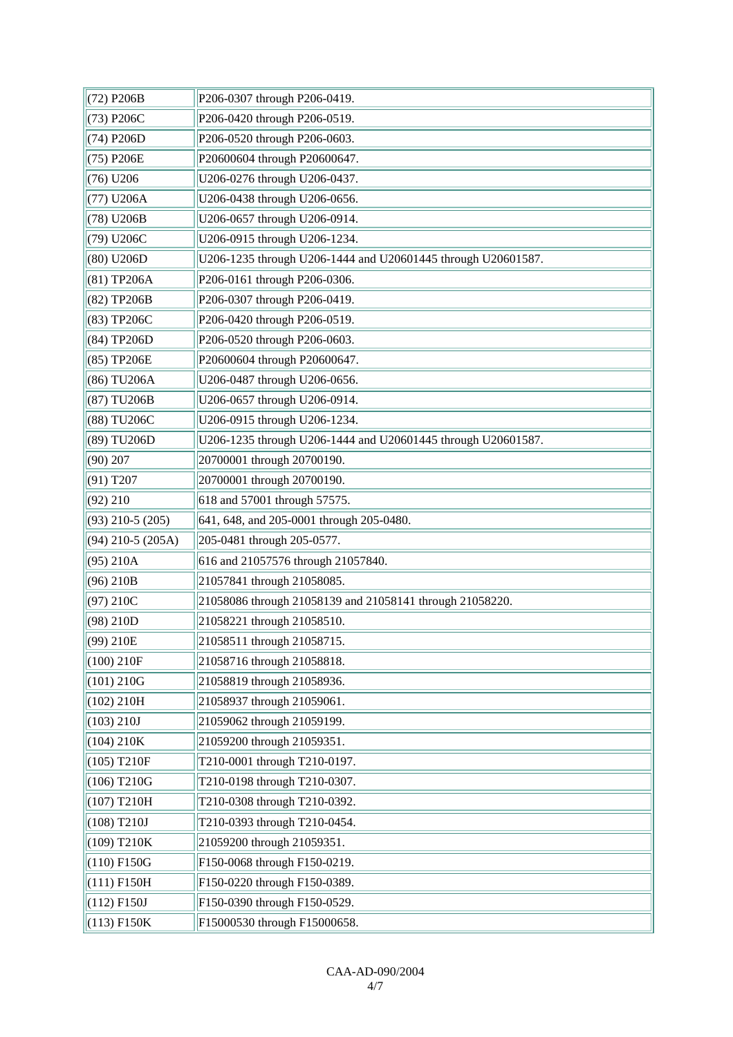| (72) P206B            | P206-0307 through P206-0419.                                 |  |
|-----------------------|--------------------------------------------------------------|--|
| (73) P206C            | P206-0420 through P206-0519.                                 |  |
| (74) P206D            | P206-0520 through P206-0603.                                 |  |
| (75) P206E            | P20600604 through P20600647.                                 |  |
| $(76)$ U206           | U206-0276 through U206-0437.                                 |  |
| (77) U206A            | U206-0438 through U206-0656.                                 |  |
| (78) U206B            | U206-0657 through U206-0914.                                 |  |
| (79) U206C            | U206-0915 through U206-1234.                                 |  |
| $(80)$ U206D          | U206-1235 through U206-1444 and U20601445 through U20601587. |  |
| (81) TP206A           | P206-0161 through P206-0306.                                 |  |
| (82) TP206B           | P206-0307 through P206-0419.                                 |  |
| (83) TP206C           | P206-0420 through P206-0519.                                 |  |
| (84) TP206D           | P206-0520 through P206-0603.                                 |  |
| (85) TP206E           | P20600604 through P20600647.                                 |  |
| (86) TU206A           | U206-0487 through U206-0656.                                 |  |
| (87) TU206B           | U206-0657 through U206-0914.                                 |  |
| (88) TU206C           | U206-0915 through U206-1234.                                 |  |
| (89) TU206D           | U206-1235 through U206-1444 and U20601445 through U20601587. |  |
| (90) 207              | 20700001 through 20700190.                                   |  |
| $(91)$ T207           | 20700001 through 20700190.                                   |  |
| (92) 210              | 618 and 57001 through 57575.                                 |  |
| $(93)$ 210-5 $(205)$  | 641, 648, and 205-0001 through 205-0480.                     |  |
| $(94)$ 210-5 $(205A)$ | 205-0481 through 205-0577.                                   |  |
| (95) 210A             | 616 and 21057576 through 21057840.                           |  |
| $(96)$ 210B           | 21057841 through 21058085.                                   |  |
| (97) 210C             | 21058086 through 21058139 and 21058141 through 21058220.     |  |
| (98) 210D             | 21058221 through 21058510.                                   |  |
| $(99)$ 210E           | 21058511 through 21058715.                                   |  |
| (100) 210F            | 21058716 through 21058818.                                   |  |
| (101) 210G            | 21058819 through 21058936.                                   |  |
| (102) 210H            | 21058937 through 21059061.                                   |  |
| (103) 210J            | 21059062 through 21059199.                                   |  |
| $(104)$ 210K          | 21059200 through 21059351.                                   |  |
| $(105)$ T210F         | T210-0001 through T210-0197.                                 |  |
| $(106)$ T210G         | T210-0198 through T210-0307.                                 |  |
| $(107)$ T210H         | T210-0308 through T210-0392.                                 |  |
| $(108)$ T210J         | T210-0393 through T210-0454.                                 |  |
| $(109)$ T210K         | 21059200 through 21059351.                                   |  |
| $(110)$ F150G         | F150-0068 through F150-0219.                                 |  |
| $(111)$ F150H         | F150-0220 through F150-0389.                                 |  |
| $(112)$ F150J         | F150-0390 through F150-0529.                                 |  |
| $(113)$ F150K         | F15000530 through F15000658.                                 |  |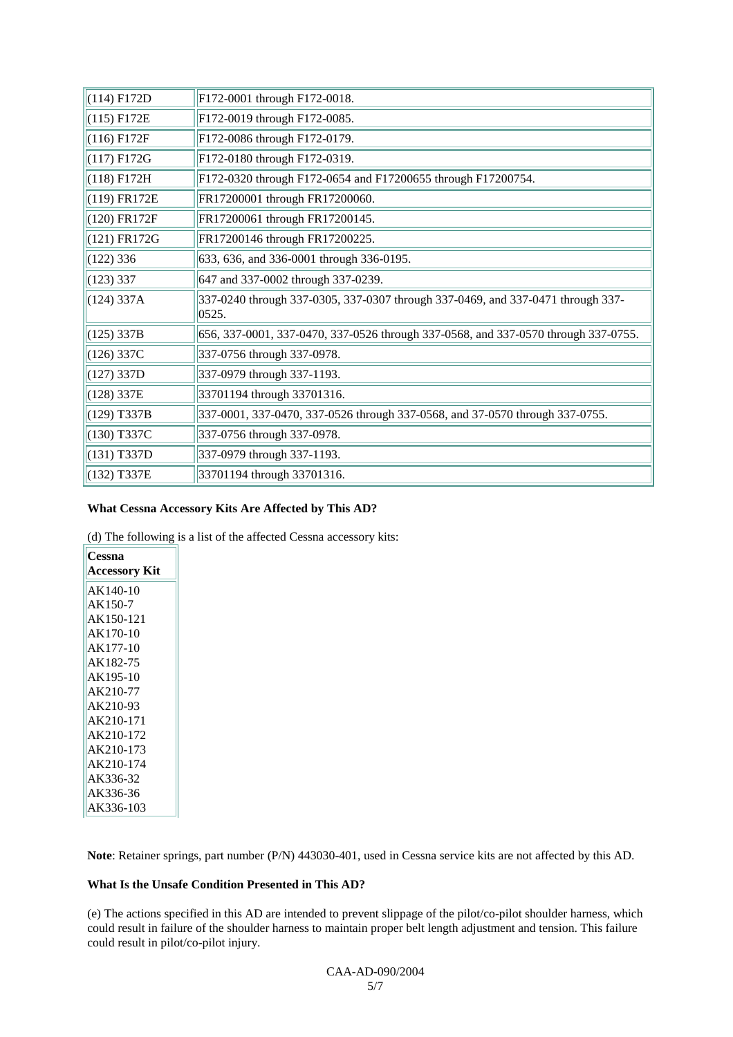| $(114)$ F172D | F172-0001 through F172-0018.                                                              |  |  |
|---------------|-------------------------------------------------------------------------------------------|--|--|
| $(115)$ F172E | F172-0019 through F172-0085.                                                              |  |  |
| $(116)$ F172F | F172-0086 through F172-0179.                                                              |  |  |
| $(117)$ F172G | F172-0180 through F172-0319.                                                              |  |  |
| $(118)$ F172H | F172-0320 through F172-0654 and F17200655 through F17200754.                              |  |  |
| (119) FR172E  | FR17200001 through FR17200060.                                                            |  |  |
| (120) FR172F  | FR17200061 through FR17200145.                                                            |  |  |
| (121) FR172G  | FR17200146 through FR17200225.                                                            |  |  |
| $(122)$ 336   | 633, 636, and 336-0001 through 336-0195.                                                  |  |  |
| (123) 337     | 647 and 337-0002 through 337-0239.                                                        |  |  |
| (124) 337A    | 337-0240 through 337-0305, 337-0307 through 337-0469, and 337-0471 through 337-<br> 0525. |  |  |
| $(125)$ 337B  | 656, 337-0001, 337-0470, 337-0526 through 337-0568, and 337-0570 through 337-0755.        |  |  |
| $(126)$ 337C  | 337-0756 through 337-0978.                                                                |  |  |
| (127) 337D    | 337-0979 through 337-1193.                                                                |  |  |
| (128) 337E    | 33701194 through 33701316.                                                                |  |  |
| $(129)$ T337B | 337-0001, 337-0470, 337-0526 through 337-0568, and 37-0570 through 337-0755.              |  |  |
| (130) T337C   | 337-0756 through 337-0978.                                                                |  |  |
| $(131)$ T337D | 337-0979 through 337-1193.                                                                |  |  |
| (132) T337E   | 33701194 through 33701316.                                                                |  |  |

#### **What Cessna Accessory Kits Are Affected by This AD?**

(d) The following is a list of the affected Cessna accessory kits:

| Cessna        |  |  |
|---------------|--|--|
| Accessory Kit |  |  |
| AK140-10      |  |  |
| $AK150-7$     |  |  |
| AK150-121     |  |  |
| AK170-10      |  |  |
| $AK177-10$    |  |  |
| AK182-75      |  |  |
| AK195-10      |  |  |
| AK210-77      |  |  |
| AK210-93      |  |  |
| AK210-171     |  |  |
| AK210-172     |  |  |
| AK210-173     |  |  |
| AK210-174     |  |  |
| AK336-32      |  |  |
| AK336-36      |  |  |
| AK336-103     |  |  |

**Note**: Retainer springs, part number (P/N) 443030-401, used in Cessna service kits are not affected by this AD.

#### **What Is the Unsafe Condition Presented in This AD?**

(e) The actions specified in this AD are intended to prevent slippage of the pilot/co-pilot shoulder harness, which could result in failure of the shoulder harness to maintain proper belt length adjustment and tension. This failure could result in pilot/co-pilot injury.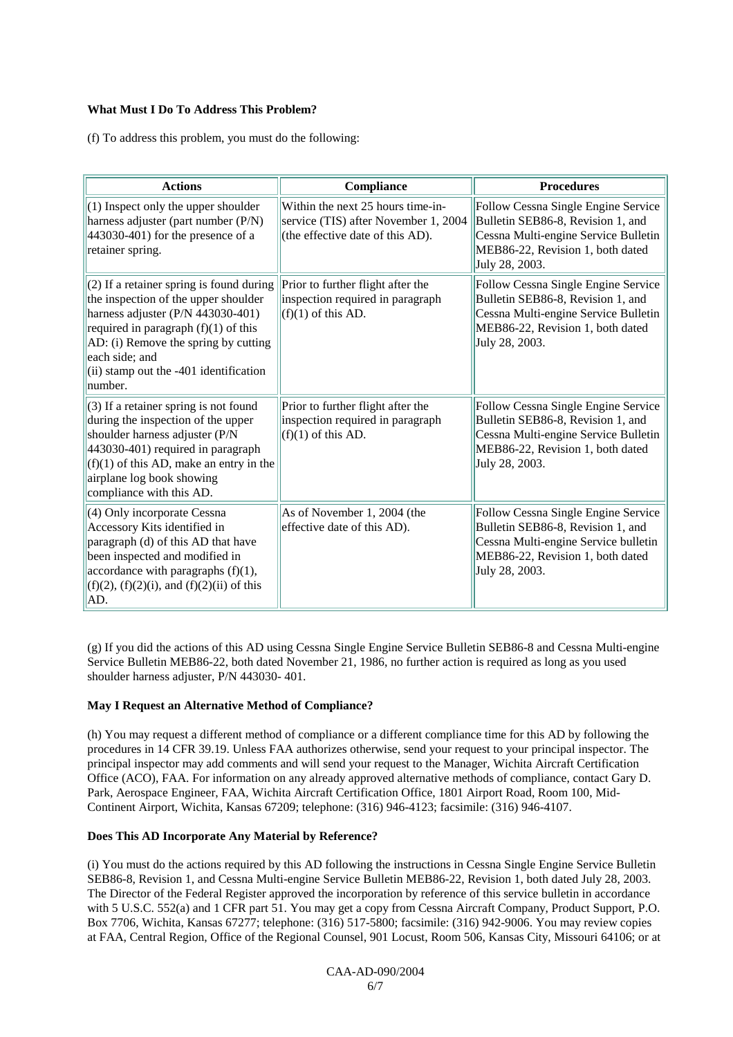#### **What Must I Do To Address This Problem?**

(f) To address this problem, you must do the following:

| <b>Actions</b>                                                                                                                                                                                                                                                                 | Compliance                                                                                                    | <b>Procedures</b>                                                                                                                                                      |
|--------------------------------------------------------------------------------------------------------------------------------------------------------------------------------------------------------------------------------------------------------------------------------|---------------------------------------------------------------------------------------------------------------|------------------------------------------------------------------------------------------------------------------------------------------------------------------------|
| (1) Inspect only the upper shoulder<br>harness adjuster (part number (P/N)<br>443030-401) for the presence of a<br>retainer spring.                                                                                                                                            | Within the next 25 hours time-in-<br>service (TIS) after November 1, 2004<br>(the effective date of this AD). | Follow Cessna Single Engine Service<br>Bulletin SEB86-8, Revision 1, and<br>Cessna Multi-engine Service Bulletin<br>MEB86-22, Revision 1, both dated<br>July 28, 2003. |
| (2) If a retainer spring is found during<br>the inspection of the upper shoulder<br>harness adjuster (P/N 443030-401)<br>required in paragraph $(f)(1)$ of this<br>AD: (i) Remove the spring by cutting<br>each side; and<br>(ii) stamp out the -401 identification<br>number. | Prior to further flight after the<br>inspection required in paragraph<br>$(f)(1)$ of this AD.                 | Follow Cessna Single Engine Service<br>Bulletin SEB86-8, Revision 1, and<br>Cessna Multi-engine Service Bulletin<br>MEB86-22, Revision 1, both dated<br>July 28, 2003. |
| (3) If a retainer spring is not found<br>during the inspection of the upper<br>shoulder harness adjuster (P/N<br>443030-401) required in paragraph<br>$(f)(1)$ of this AD, make an entry in the<br>airplane log book showing<br>compliance with this AD.                       | Prior to further flight after the<br>inspection required in paragraph<br>$(f)(1)$ of this AD.                 | Follow Cessna Single Engine Service<br>Bulletin SEB86-8, Revision 1, and<br>Cessna Multi-engine Service Bulletin<br>MEB86-22, Revision 1, both dated<br>July 28, 2003. |
| (4) Only incorporate Cessna<br>Accessory Kits identified in<br>paragraph (d) of this AD that have<br>been inspected and modified in<br>accordance with paragraphs $(f)(1)$ ,<br>$(f)(2)$ , $(f)(2)(i)$ , and $(f)(2)(ii)$ of this<br>AD.                                       | As of November 1, 2004 (the<br>effective date of this AD).                                                    | Follow Cessna Single Engine Service<br>Bulletin SEB86-8, Revision 1, and<br>Cessna Multi-engine Service bulletin<br>MEB86-22, Revision 1, both dated<br>July 28, 2003. |

(g) If you did the actions of this AD using Cessna Single Engine Service Bulletin SEB86-8 and Cessna Multi-engine Service Bulletin MEB86-22, both dated November 21, 1986, no further action is required as long as you used shoulder harness adjuster, P/N 443030- 401.

#### **May I Request an Alternative Method of Compliance?**

(h) You may request a different method of compliance or a different compliance time for this AD by following the procedures in 14 CFR 39.19. Unless FAA authorizes otherwise, send your request to your principal inspector. The principal inspector may add comments and will send your request to the Manager, Wichita Aircraft Certification Office (ACO), FAA. For information on any already approved alternative methods of compliance, contact Gary D. Park, Aerospace Engineer, FAA, Wichita Aircraft Certification Office, 1801 Airport Road, Room 100, Mid-Continent Airport, Wichita, Kansas 67209; telephone: (316) 946-4123; facsimile: (316) 946-4107.

#### **Does This AD Incorporate Any Material by Reference?**

(i) You must do the actions required by this AD following the instructions in Cessna Single Engine Service Bulletin SEB86-8, Revision 1, and Cessna Multi-engine Service Bulletin MEB86-22, Revision 1, both dated July 28, 2003. The Director of the Federal Register approved the incorporation by reference of this service bulletin in accordance with 5 U.S.C. 552(a) and 1 CFR part 51. You may get a copy from Cessna Aircraft Company, Product Support, P.O. Box 7706, Wichita, Kansas 67277; telephone: (316) 517-5800; facsimile: (316) 942-9006. You may review copies at FAA, Central Region, Office of the Regional Counsel, 901 Locust, Room 506, Kansas City, Missouri 64106; or at